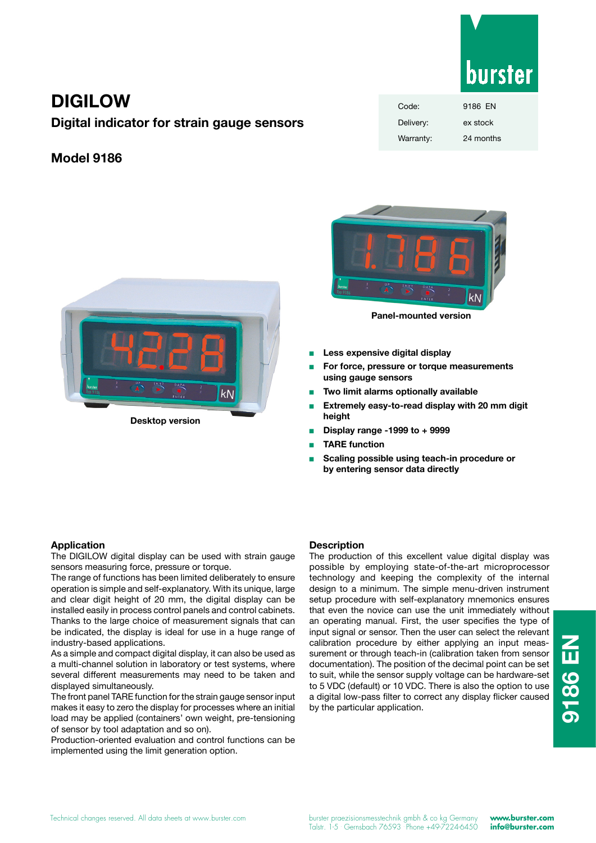

# **DIGILOW**

**Digital indicator for strain gauge sensors**

## **Model 9186**







**Panel-mounted version**

- **Less expensive digital display**
- For force, pressure or torque measurements **using gauge sensors**
- **Two limit alarms optionally available**
- Extremely easy-to-read display with 20 mm digit **height**
- <sup>n</sup> **Display range -1999 to + 9999**
- **TARE function**
- **Scaling possible using teach-in procedure or by entering sensor data directly**

## **Application**

The DIGILOW digital display can be used with strain gauge sensors measuring force, pressure or torque.

The range of functions has been limited deliberately to ensure operation is simple and self-explanatory. With its unique, large and clear digit height of 20 mm, the digital display can be installed easily in process control panels and control cabinets. Thanks to the large choice of measurement signals that can be indicated, the display is ideal for use in a huge range of industry-based applications.

As a simple and compact digital display, it can also be used as a multi-channel solution in laboratory or test systems, where several different measurements may need to be taken and displayed simultaneously.

The front panel TARE function for the strain gauge sensor input makes it easy to zero the display for processes where an initial load may be applied (containers' own weight, pre-tensioning of sensor by tool adaptation and so on).

Production-oriented evaluation and control functions can be implemented using the limit generation option.

## **Description**

The production of this excellent value digital display was possible by employing state-of-the-art microprocessor technology and keeping the complexity of the internal design to a minimum. The simple menu-driven instrument setup procedure with self-explanatory mnemonics ensures that even the novice can use the unit immediately without an operating manual. First, the user specifies the type of input signal or sensor. Then the user can select the relevant calibration procedure by either applying an input meassurement or through teach-in (calibration taken from sensor documentation). The position of the decimal point can be set to suit, while the sensor supply voltage can be hardware-set to 5 VDC (default) or 10 VDC. There is also the option to use a digital low-pass filter to correct any display flicker caused by the particular application.